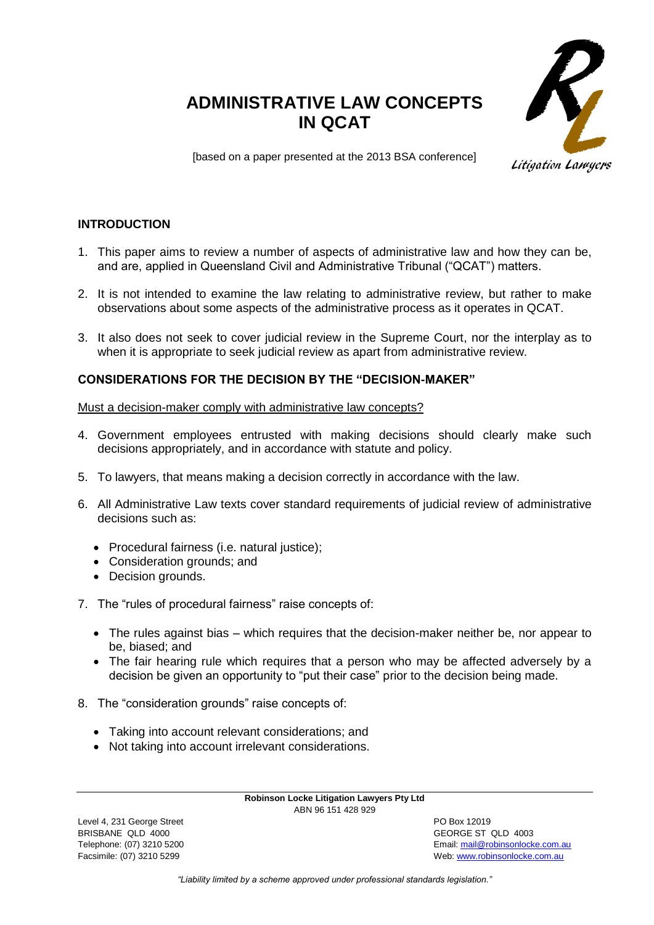# **ADMINISTRATIVE LAW CONCEPTS IN QCAT**



[based on a paper presented at the 2013 BSA conference]

# **INTRODUCTION**

- 1. This paper aims to review a number of aspects of administrative law and how they can be, and are, applied in Queensland Civil and Administrative Tribunal ("QCAT") matters.
- 2. It is not intended to examine the law relating to administrative review, but rather to make observations about some aspects of the administrative process as it operates in QCAT.
- 3. It also does not seek to cover judicial review in the Supreme Court, nor the interplay as to when it is appropriate to seek judicial review as apart from administrative review.

# **CONSIDERATIONS FOR THE DECISION BY THE "DECISION-MAKER"**

Must a decision-maker comply with administrative law concepts?

- 4. Government employees entrusted with making decisions should clearly make such decisions appropriately, and in accordance with statute and policy.
- 5. To lawyers, that means making a decision correctly in accordance with the law.
- 6. All Administrative Law texts cover standard requirements of judicial review of administrative decisions such as:
	- Procedural fairness (i.e. natural justice);
	- Consideration grounds; and
	- Decision grounds.
- 7. The "rules of procedural fairness" raise concepts of:
	- The rules against bias which requires that the decision-maker neither be, nor appear to be, biased; and
	- The fair hearing rule which requires that a person who may be affected adversely by a decision be given an opportunity to "put their case" prior to the decision being made.
- 8. The "consideration grounds" raise concepts of:
	- Taking into account relevant considerations; and
	- Not taking into account irrelevant considerations.

**Robinson Locke Litigation Lawyers Pty Ltd** ABN 96 151 428 929

Level 4, 231 George Street **PO Box 12019** BRISBANE QLD 4000 GEORGE ST QLD 4003

Telephone: (07) 3210 5200 Email[: mail@robinsonlocke.com.au](mailto:mail@robinsonlocke.com.au) Facsimile: (07) 3210 5299 Web: [www.robinsonlocke.com.au](http://www.robinsonlocke.com.au/)

*"Liability limited by a scheme approved under professional standards legislation."*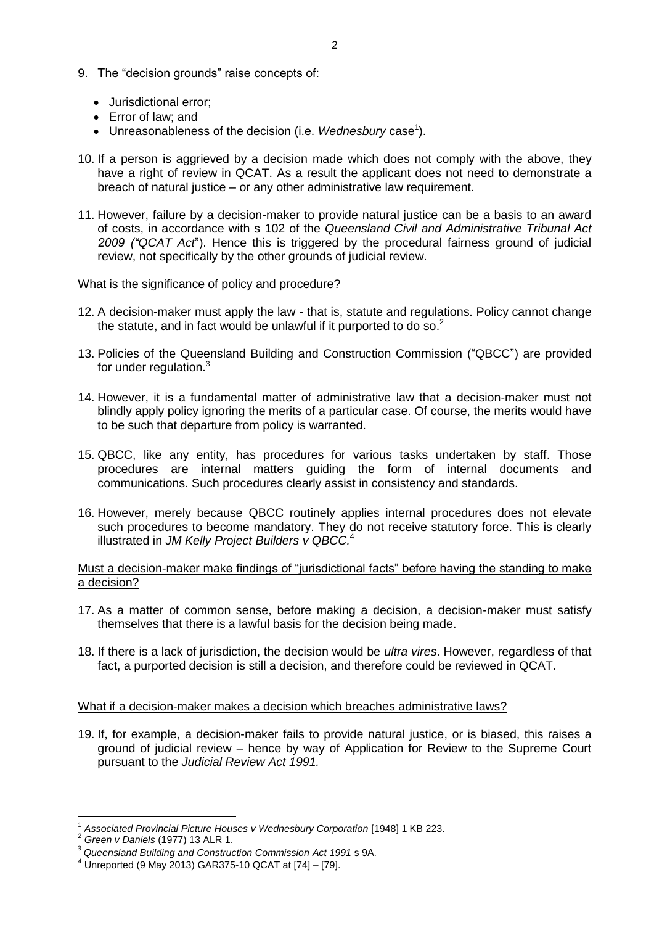- 9. The "decision grounds" raise concepts of:
	- Jurisdictional error:
	- Error of law: and
	- Unreasonableness of the decision (i.e. Wednesbury case<sup>1</sup>).
- 10. If a person is aggrieved by a decision made which does not comply with the above, they have a right of review in QCAT. As a result the applicant does not need to demonstrate a breach of natural justice – or any other administrative law requirement.
- 11. However, failure by a decision-maker to provide natural justice can be a basis to an award of costs, in accordance with s 102 of the *Queensland Civil and Administrative Tribunal Act 2009 ("QCAT Act*"). Hence this is triggered by the procedural fairness ground of judicial review, not specifically by the other grounds of judicial review.

## What is the significance of policy and procedure?

- 12. A decision-maker must apply the law that is, statute and regulations. Policy cannot change the statute, and in fact would be unlawful if it purported to do so.<sup>2</sup>
- 13. Policies of the Queensland Building and Construction Commission ("QBCC") are provided for under regulation.<sup>3</sup>
- 14. However, it is a fundamental matter of administrative law that a decision-maker must not blindly apply policy ignoring the merits of a particular case. Of course, the merits would have to be such that departure from policy is warranted.
- 15. QBCC, like any entity, has procedures for various tasks undertaken by staff. Those procedures are internal matters guiding the form of internal documents and communications. Such procedures clearly assist in consistency and standards.
- 16. However, merely because QBCC routinely applies internal procedures does not elevate such procedures to become mandatory. They do not receive statutory force. This is clearly illustrated in *JM Kelly Project Builders v QBCC.* 4

## Must a decision-maker make findings of "jurisdictional facts" before having the standing to make a decision?

- 17. As a matter of common sense, before making a decision, a decision-maker must satisfy themselves that there is a lawful basis for the decision being made.
- 18. If there is a lack of jurisdiction, the decision would be *ultra vires*. However, regardless of that fact, a purported decision is still a decision, and therefore could be reviewed in QCAT.

#### What if a decision-maker makes a decision which breaches administrative laws?

19. If, for example, a decision-maker fails to provide natural justice, or is biased, this raises a ground of judicial review – hence by way of Application for Review to the Supreme Court pursuant to the *Judicial Review Act 1991.*

 1 *Associated Provincial Picture Houses v Wednesbury Corporation* [1948] 1 KB 223.

<sup>2</sup> *Green v Daniels* (1977) 13 ALR 1.

<sup>3</sup> *Queensland Building and Construction Commission Act 1991* s 9A.

 $4$  Unreported (9 May 2013) GAR375-10 QCAT at [74] - [79].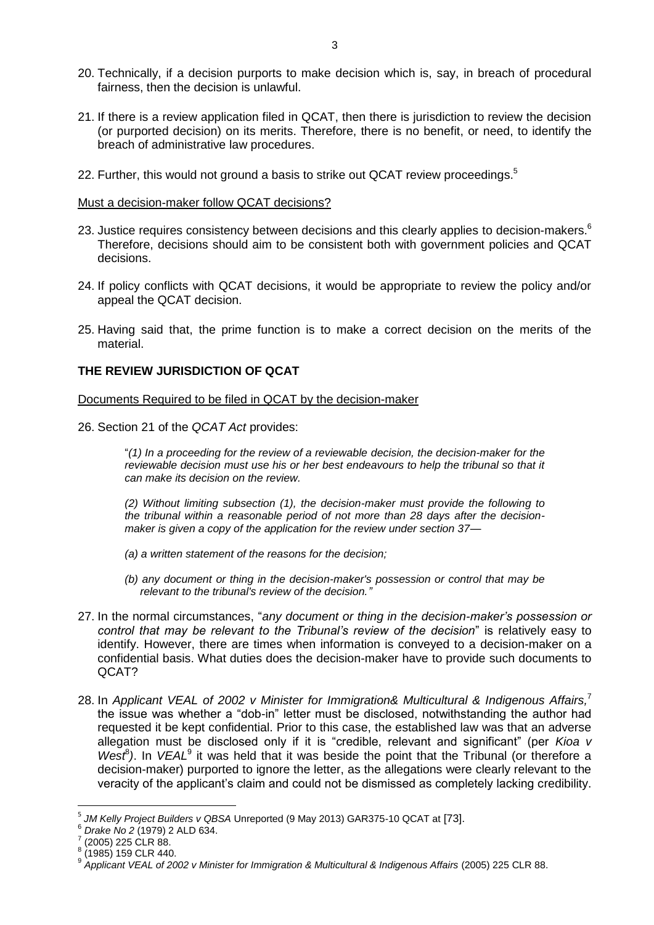- 20. Technically, if a decision purports to make decision which is, say, in breach of procedural fairness, then the decision is unlawful.
- 21. If there is a review application filed in QCAT, then there is jurisdiction to review the decision (or purported decision) on its merits. Therefore, there is no benefit, or need, to identify the breach of administrative law procedures.
- 22. Further, this would not ground a basis to strike out QCAT review proceedings.<sup>5</sup>

Must a decision-maker follow QCAT decisions?

- 23. Justice requires consistency between decisions and this clearly applies to decision-makers. $^6$ Therefore, decisions should aim to be consistent both with government policies and QCAT decisions.
- 24. If policy conflicts with QCAT decisions, it would be appropriate to review the policy and/or appeal the QCAT decision.
- 25. Having said that, the prime function is to make a correct decision on the merits of the material.

# **THE REVIEW JURISDICTION OF QCAT**

Documents Required to be filed in QCAT by the decision-maker

26. Section 21 of the *QCAT Act* provides:

"*(1) In a proceeding for the review of a reviewable decision, the decision-maker for the reviewable decision must use his or her best endeavours to help the tribunal so that it can make its decision on the review.*

*(2) Without limiting subsection (1), the decision-maker must provide the following to the tribunal within a reasonable period of not more than 28 days after the decisionmaker is given a copy of the application for the review under section 37—*

- *(a) a written statement of the reasons for the decision;*
- *(b) any document or thing in the decision-maker's possession or control that may be relevant to the tribunal's review of the decision."*
- 27. In the normal circumstances, "*any document or thing in the decision-maker's possession or control that may be relevant to the Tribunal's review of the decision*" is relatively easy to identify. However, there are times when information is conveyed to a decision-maker on a confidential basis. What duties does the decision-maker have to provide such documents to QCAT?
- 28. In *Applicant VEAL of 2002 v Minister for Immigration& Multicultural & Indigenous Affairs,* 7 the issue was whether a "dob-in" letter must be disclosed, notwithstanding the author had requested it be kept confidential. Prior to this case, the established law was that an adverse allegation must be disclosed only if it is "credible, relevant and significant" (per *Kioa v West<sup>8</sup>*). In *VEAL<sup>9</sup>* it was held that it was beside the point that the Tribunal (or therefore a decision-maker) purported to ignore the letter, as the allegations were clearly relevant to the veracity of the applicant's claim and could not be dismissed as completely lacking credibility.

 $\overline{a}$ 

<sup>5</sup> *JM Kelly Project Builders v QBSA* Unreported (9 May 2013) GAR375-10 QCAT at [73].

<sup>&</sup>lt;sup>6</sup> *Drake No 2* (1979) 2 ALD 634.

<sup>(2005) 225</sup> CLR 88.

<sup>8</sup> (1985) 159 CLR 440.

<sup>9</sup> *Applicant VEAL of 2002 v Minister for Immigration & Multicultural & Indigenous Affairs* (2005) 225 CLR 88.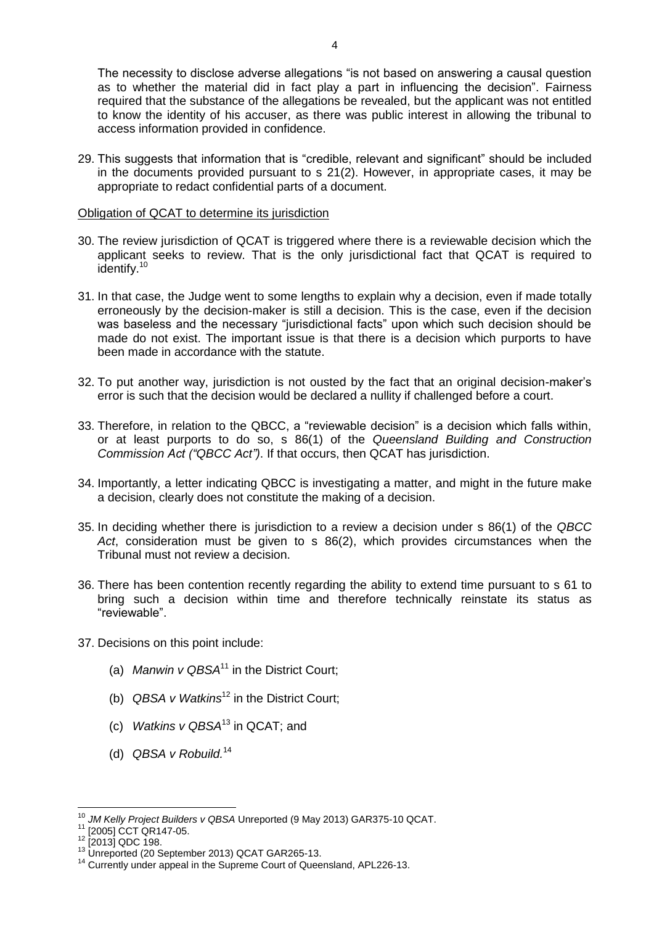The necessity to disclose adverse allegations "is not based on answering a causal question as to whether the material did in fact play a part in influencing the decision". Fairness required that the substance of the allegations be revealed, but the applicant was not entitled to know the identity of his accuser, as there was public interest in allowing the tribunal to access information provided in confidence.

29. This suggests that information that is "credible, relevant and significant" should be included in the documents provided pursuant to s 21(2). However, in appropriate cases, it may be appropriate to redact confidential parts of a document.

Obligation of QCAT to determine its jurisdiction

- 30. The review jurisdiction of QCAT is triggered where there is a reviewable decision which the applicant seeks to review. That is the only jurisdictional fact that QCAT is required to identify.<sup>10</sup>
- 31. In that case, the Judge went to some lengths to explain why a decision, even if made totally erroneously by the decision-maker is still a decision. This is the case, even if the decision was baseless and the necessary "jurisdictional facts" upon which such decision should be made do not exist. The important issue is that there is a decision which purports to have been made in accordance with the statute.
- 32. To put another way, jurisdiction is not ousted by the fact that an original decision-maker's error is such that the decision would be declared a nullity if challenged before a court.
- 33. Therefore, in relation to the QBCC, a "reviewable decision" is a decision which falls within, or at least purports to do so, s 86(1) of the *Queensland Building and Construction Commission Act ("QBCC Act")*. If that occurs, then QCAT has jurisdiction.
- 34. Importantly, a letter indicating QBCC is investigating a matter, and might in the future make a decision, clearly does not constitute the making of a decision.
- 35. In deciding whether there is jurisdiction to a review a decision under s 86(1) of the *QBCC Act*, consideration must be given to s 86(2), which provides circumstances when the Tribunal must not review a decision.
- 36. There has been contention recently regarding the ability to extend time pursuant to s 61 to bring such a decision within time and therefore technically reinstate its status as "reviewable".
- 37. Decisions on this point include:
	- (a) *Manwin v QBSA*<sup>11</sup> in the District Court;
	- (b) *QBSA v Watkins*<sup>12</sup> in the District Court;
	- (c) *Watkins v QBSA*<sup>13</sup> in QCAT; and
	- (d) *QBSA v Robuild.* 14

 $\overline{\phantom{a}}$ <sup>10</sup> *JM Kelly Project Builders v QBSA* Unreported (9 May 2013) GAR375-10 QCAT.

 $^{11}$  [2005] CCT QR147-05.

 $[2013]$  QDC 198.

<sup>13</sup> Unreported (20 September 2013) QCAT GAR265-13.

<sup>&</sup>lt;sup>14</sup> Currently under appeal in the Supreme Court of Queensland, APL226-13.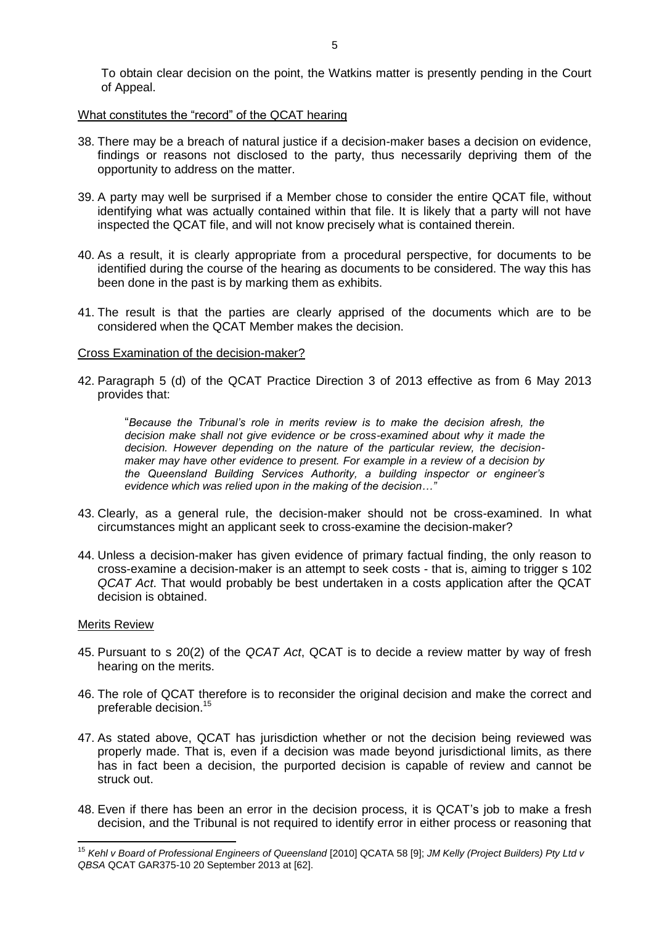To obtain clear decision on the point, the Watkins matter is presently pending in the Court of Appeal.

## What constitutes the "record" of the QCAT hearing

- 38. There may be a breach of natural justice if a decision-maker bases a decision on evidence, findings or reasons not disclosed to the party, thus necessarily depriving them of the opportunity to address on the matter.
- 39. A party may well be surprised if a Member chose to consider the entire QCAT file, without identifying what was actually contained within that file. It is likely that a party will not have inspected the QCAT file, and will not know precisely what is contained therein.
- 40. As a result, it is clearly appropriate from a procedural perspective, for documents to be identified during the course of the hearing as documents to be considered. The way this has been done in the past is by marking them as exhibits.
- 41. The result is that the parties are clearly apprised of the documents which are to be considered when the QCAT Member makes the decision.

#### Cross Examination of the decision-maker?

42. Paragraph 5 (d) of the QCAT Practice Direction 3 of 2013 effective as from 6 May 2013 provides that:

"*Because the Tribunal's role in merits review is to make the decision afresh, the decision make shall not give evidence or be cross-examined about why it made the decision. However depending on the nature of the particular review, the decisionmaker may have other evidence to present. For example in a review of a decision by the Queensland Building Services Authority, a building inspector or engineer's evidence which was relied upon in the making of the decision…"*

- 43. Clearly, as a general rule, the decision-maker should not be cross-examined. In what circumstances might an applicant seek to cross-examine the decision-maker?
- 44. Unless a decision-maker has given evidence of primary factual finding, the only reason to cross-examine a decision-maker is an attempt to seek costs - that is, aiming to trigger s 102 *QCAT Act*. That would probably be best undertaken in a costs application after the QCAT decision is obtained.

#### Merits Review

- 45. Pursuant to s 20(2) of the *QCAT Act*, QCAT is to decide a review matter by way of fresh hearing on the merits.
- 46. The role of QCAT therefore is to reconsider the original decision and make the correct and preferable decision. 15
- 47. As stated above, QCAT has jurisdiction whether or not the decision being reviewed was properly made. That is, even if a decision was made beyond jurisdictional limits, as there has in fact been a decision, the purported decision is capable of review and cannot be struck out.
- 48. Even if there has been an error in the decision process, it is QCAT's job to make a fresh decision, and the Tribunal is not required to identify error in either process or reasoning that

 $\overline{\phantom{a}}$ <sup>15</sup> *Kehl v Board of Professional Engineers of Queensland* [2010] QCATA 58 [9]; *JM Kelly (Project Builders) Pty Ltd v QBSA* QCAT GAR375-10 20 September 2013 at [62].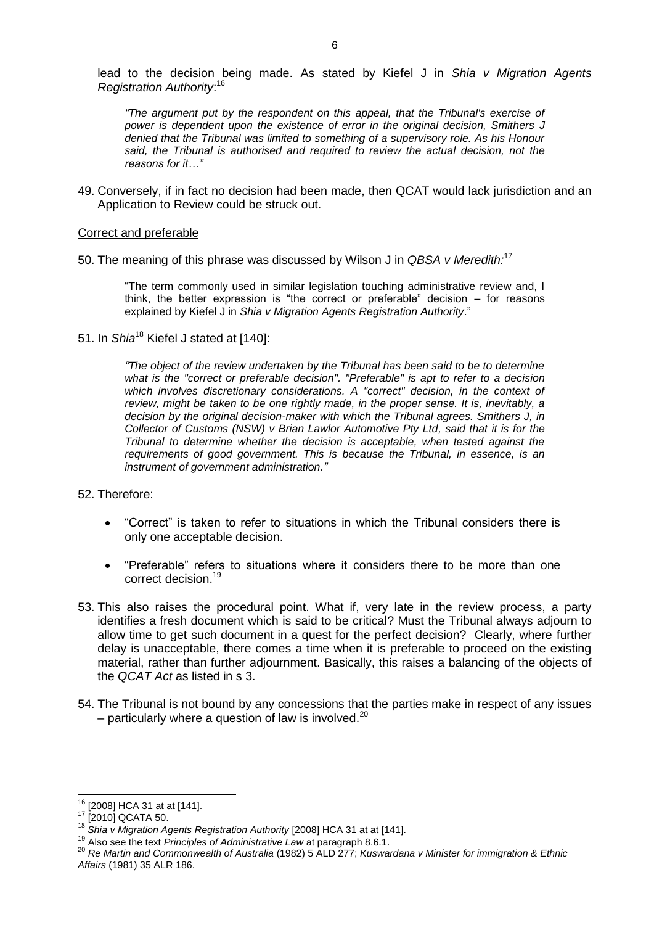lead to the decision being made. As stated by Kiefel J in *Shia v Migration Agents Registration Authority*: 16

*"The argument put by the respondent on this appeal, that the Tribunal's exercise of power is dependent upon the existence of error in the original decision, Smithers J denied that the Tribunal was limited to something of a supervisory role. As his Honour said, the Tribunal is authorised and required to review the actual decision, not the reasons for it…"*

49. Conversely, if in fact no decision had been made, then QCAT would lack jurisdiction and an Application to Review could be struck out.

#### Correct and preferable

50. The meaning of this phrase was discussed by Wilson J in *QBSA v Meredith:* 17

"The term commonly used in similar legislation touching administrative review and, I think, the better expression is "the correct or preferable" decision – for reasons explained by Kiefel J in *Shia v Migration Agents Registration Authority*."

51. In *Shia*<sup>18</sup> Kiefel J stated at [140]:

*"The object of the review undertaken by the Tribunal has been said to be to determine what is the "correct or preferable decision". "Preferable" is apt to refer to a decision which involves discretionary considerations. A "correct" decision, in the context of review, might be taken to be one rightly made, in the proper sense. It is, inevitably, a decision by the original decision-maker with which the Tribunal agrees. Smithers J, in Collector of Customs (NSW) v Brian Lawlor Automotive Pty Ltd, said that it is for the Tribunal to determine whether the decision is acceptable, when tested against the requirements of good government. This is because the Tribunal, in essence, is an instrument of government administration."*

#### 52. Therefore:

- "Correct" is taken to refer to situations in which the Tribunal considers there is only one acceptable decision.
- "Preferable" refers to situations where it considers there to be more than one correct decision. 19
- 53. This also raises the procedural point. What if, very late in the review process, a party identifies a fresh document which is said to be critical? Must the Tribunal always adjourn to allow time to get such document in a quest for the perfect decision? Clearly, where further delay is unacceptable, there comes a time when it is preferable to proceed on the existing material, rather than further adjournment. Basically, this raises a balancing of the objects of the *QCAT Act* as listed in s 3.
- 54. The Tribunal is not bound by any concessions that the parties make in respect of any issues  $-$  particularly where a question of law is involved.<sup>20</sup>

 $\overline{\phantom{a}}$ 

 $16$  [2008] HCA 31 at at [141].

<sup>17</sup> [2010] QCATA 50.

<sup>18</sup> *Shia v Migration Agents Registration Authority* [2008] HCA 31 at at [141].

<sup>19</sup> Also see the text *Principles of Administrative Law* at paragraph 8.6.1.

<sup>20</sup> *Re Martin and Commonwealth of Australia* (1982) 5 ALD 277; *Kuswardana v Minister for immigration & Ethnic Affairs* (1981) 35 ALR 186.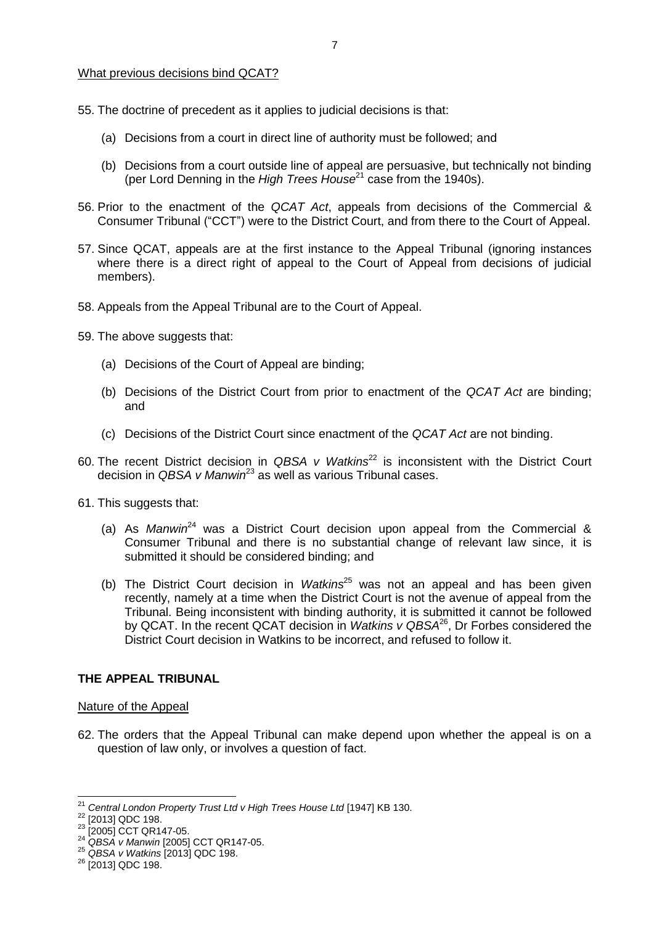#### What previous decisions bind QCAT?

- 55. The doctrine of precedent as it applies to judicial decisions is that:
	- (a) Decisions from a court in direct line of authority must be followed; and
	- (b) Decisions from a court outside line of appeal are persuasive, but technically not binding (per Lord Denning in the *High Trees House*<sup>21</sup> case from the 1940s).
- 56. Prior to the enactment of the *QCAT Act*, appeals from decisions of the Commercial & Consumer Tribunal ("CCT") were to the District Court, and from there to the Court of Appeal.
- 57. Since QCAT, appeals are at the first instance to the Appeal Tribunal (ignoring instances where there is a direct right of appeal to the Court of Appeal from decisions of judicial members).
- 58. Appeals from the Appeal Tribunal are to the Court of Appeal.
- 59. The above suggests that:
	- (a) Decisions of the Court of Appeal are binding;
	- (b) Decisions of the District Court from prior to enactment of the *QCAT Act* are binding; and
	- (c) Decisions of the District Court since enactment of the *QCAT Act* are not binding.
- 60. The recent District decision in *QBSA v Watkins*<sup>22</sup> is inconsistent with the District Court decision in *QBSA v Manwin*<sup>23</sup> as well as various Tribunal cases.
- 61. This suggests that:
	- (a) As *Manwin*<sup>24</sup> was a District Court decision upon appeal from the Commercial & Consumer Tribunal and there is no substantial change of relevant law since, it is submitted it should be considered binding; and
	- (b) The District Court decision in *Watkins*<sup>25</sup> was not an appeal and has been given recently, namely at a time when the District Court is not the avenue of appeal from the Tribunal. Being inconsistent with binding authority, it is submitted it cannot be followed by QCAT. In the recent QCAT decision in *Watkins v QBSA*<sup>26</sup> , Dr Forbes considered the District Court decision in Watkins to be incorrect, and refused to follow it.

## **THE APPEAL TRIBUNAL**

#### Nature of the Appeal

62. The orders that the Appeal Tribunal can make depend upon whether the appeal is on a question of law only, or involves a question of fact.

l

<sup>21</sup> *Central London Property Trust Ltd v High Trees House Ltd* [1947] KB 130.

<sup>22</sup> [2013] QDC 198.

<sup>&</sup>lt;sup>23</sup> [2005] CCT QR147-05.

<sup>24</sup> *QBSA v Manwin* [2005] CCT QR147-05.

<sup>25</sup> *QBSA v Watkins* [2013] QDC 198.

<sup>26</sup> [2013] QDC 198.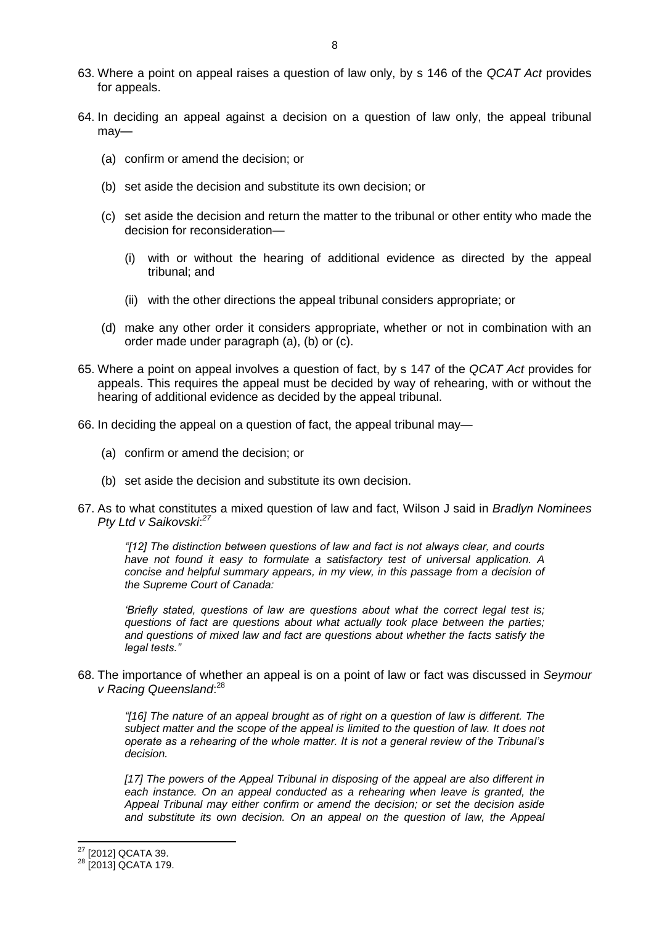- 63. Where a point on appeal raises a question of law only, by s 146 of the *QCAT Act* provides for appeals.
- 64. In deciding an appeal against a decision on a question of law only, the appeal tribunal may—
	- (a) confirm or amend the decision; or
	- (b) set aside the decision and substitute its own decision; or
	- (c) set aside the decision and return the matter to the tribunal or other entity who made the decision for reconsideration—
		- (i) with or without the hearing of additional evidence as directed by the appeal tribunal; and
		- (ii) with the other directions the appeal tribunal considers appropriate; or
	- (d) make any other order it considers appropriate, whether or not in combination with an order made under paragraph (a), (b) or (c).
- 65. Where a point on appeal involves a question of fact, by s 147 of the *QCAT Act* provides for appeals. This requires the appeal must be decided by way of rehearing, with or without the hearing of additional evidence as decided by the appeal tribunal.
- 66. In deciding the appeal on a question of fact, the appeal tribunal may—
	- (a) confirm or amend the decision; or
	- (b) set aside the decision and substitute its own decision.
- 67. As to what constitutes a mixed question of law and fact, Wilson J said in *Bradlyn Nominees Pty Ltd v Saikovski*: *27*

*"[12] The distinction between questions of law and fact is not always clear, and courts have not found it easy to formulate a satisfactory test of universal application. A concise and helpful summary appears, in my view, in this passage from a decision of the Supreme Court of Canada:*

*'Briefly stated, questions of law are questions about what the correct legal test is; questions of fact are questions about what actually took place between the parties; and questions of mixed law and fact are questions about whether the facts satisfy the legal tests."*

68. The importance of whether an appeal is on a point of law or fact was discussed in *Seymour v Racing Queensland*: 28

*"[16] The nature of an appeal brought as of right on a question of law is different. The subject matter and the scope of the appeal is limited to the question of law. It does not operate as a rehearing of the whole matter. It is not a general review of the Tribunal's decision.*

*[17] The powers of the Appeal Tribunal in disposing of the appeal are also different in each instance. On an appeal conducted as a rehearing when leave is granted, the Appeal Tribunal may either confirm or amend the decision; or set the decision aside and substitute its own decision. On an appeal on the question of law, the Appeal* 

 $\overline{\phantom{a}}$ 

 $27$  [2012] QCATA 39.

<sup>&</sup>lt;sup>28</sup> [2013] QCATA 179.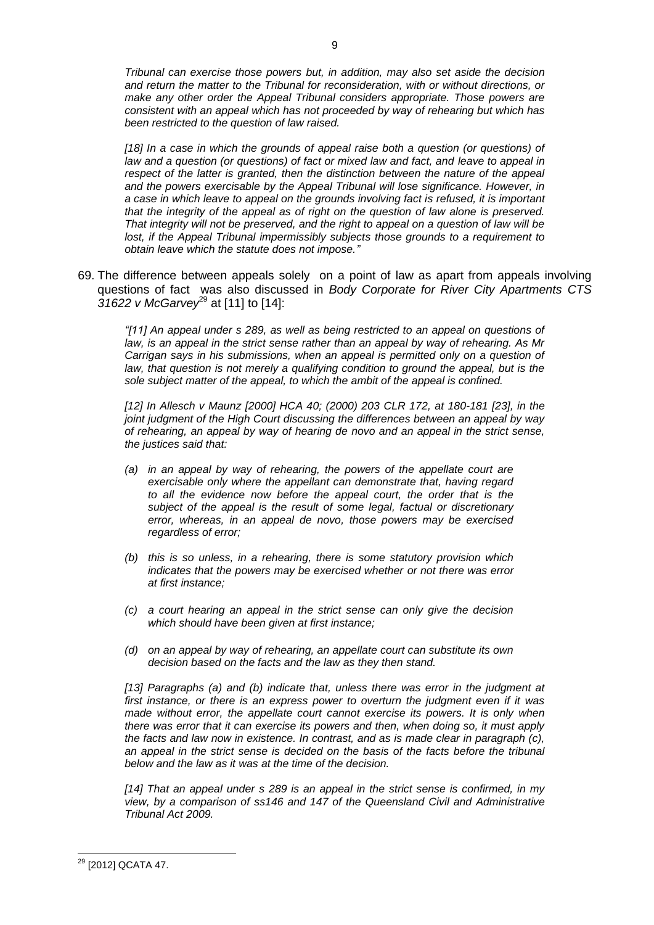*Tribunal can exercise those powers but, in addition, may also set aside the decision and return the matter to the Tribunal for reconsideration, with or without directions, or make any other order the Appeal Tribunal considers appropriate. Those powers are consistent with an appeal which has not proceeded by way of rehearing but which has been restricted to the question of law raised.*

*[18] In a case in which the grounds of appeal raise both a question (or questions) of law and a question (or questions) of fact or mixed law and fact, and leave to appeal in respect of the latter is granted, then the distinction between the nature of the appeal and the powers exercisable by the Appeal Tribunal will lose significance. However, in a case in which leave to appeal on the grounds involving fact is refused, it is important that the integrity of the appeal as of right on the question of law alone is preserved. That integrity will not be preserved, and the right to appeal on a question of law will be lost, if the Appeal Tribunal impermissibly subjects those grounds to a requirement to obtain leave which the statute does not impose."*

69. The difference between appeals solely on a point of law as apart from appeals involving questions of fact was also discussed in *Body Corporate for River City Apartments CTS 31622 v McGarvey*<sup>29</sup> at [11] to [14]:

*"[11] An appeal under s 289, as well as being restricted to an appeal on questions of law, is an appeal in the strict sense rather than an appeal by way of rehearing. As Mr Carrigan says in his submissions, when an appeal is permitted only on a question of law, that question is not merely a qualifying condition to ground the appeal, but is the sole subject matter of the appeal, to which the ambit of the appeal is confined.*

*[12] In Allesch v Maunz [\[2000\] HCA 40;](http://www.austlii.edu.au/au/cases/cth/HCA/2000/40.html) [\(2000\) 203 CLR 172,](http://www.austlii.edu.au/cgi-bin/LawCite?cit=%282000%29%20203%20CLR%20172?stem=0&synonyms=0&query=qcaata2009428%20s146) at 180-181 [23], in the joint judgment of the High Court discussing the differences between an appeal by way of rehearing, an appeal by way of hearing de novo and an appeal in the strict sense, the justices said that:*

- *(a) in an appeal by way of rehearing, the powers of the appellate court are exercisable only where the appellant can demonstrate that, having regard to all the evidence now before the appeal court, the order that is the subject of the appeal is the result of some legal, factual or discretionary error, whereas, in an appeal de novo, those powers may be exercised regardless of error;*
- *(b) this is so unless, in a rehearing, there is some statutory provision which indicates that the powers may be exercised whether or not there was error at first instance;*
- *(c) a court hearing an appeal in the strict sense can only give the decision which should have been given at first instance;*
- *(d) on an appeal by way of rehearing, an appellate court can substitute its own decision based on the facts and the law as they then stand.*

*[13] Paragraphs (a) and (b) indicate that, unless there was error in the judgment at first instance, or there is an express power to overturn the judgment even if it was made without error, the appellate court cannot exercise its powers. It is only when there was error that it can exercise its powers and then, when doing so, it must apply the facts and law now in existence. In contrast, and as is made clear in paragraph (c), an appeal in the strict sense is decided on the basis of the facts before the tribunal below and the law as it was at the time of the decision.*

*[14] That an appeal under s 289 is an appeal in the strict sense is confirmed, in my view, by a comparison of [ss146](http://www.austlii.edu.au/au/legis/qld/consol_act/qcaata2009428/s146.html) and [147](http://www.austlii.edu.au/au/legis/qld/consol_act/qcaata2009428/s147.html) of the [Queensland Civil and Administrative](http://www.austlii.edu.au/au/legis/qld/consol_act/qcaata2009428/)  [Tribunal Act](http://www.austlii.edu.au/au/legis/qld/consol_act/qcaata2009428/) 2009.*

 $\overline{a}$ <sup>29</sup> [2012] QCATA 47.